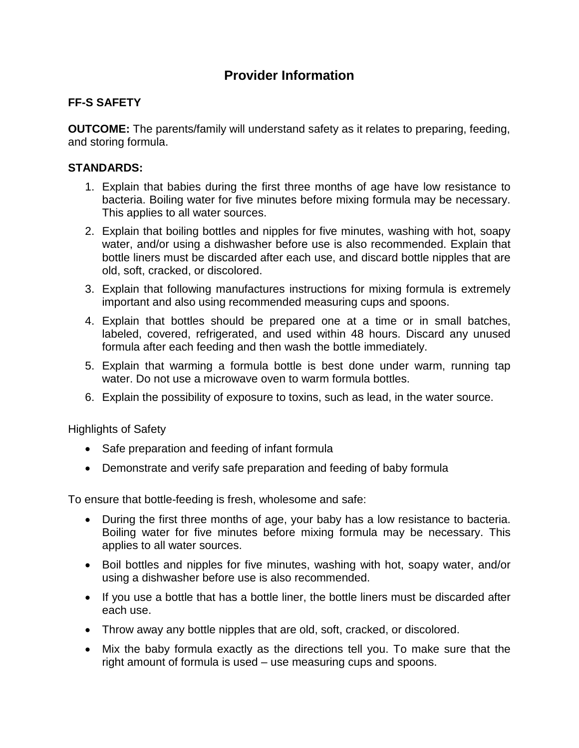## **Provider Information**

## **FF-S SAFETY**

**OUTCOME:** The parents/family will understand safety as it relates to preparing, feeding, and storing formula.

## **STANDARDS:**

- 1. Explain that babies during the first three months of age have low resistance to bacteria. Boiling water for five minutes before mixing formula may be necessary. This applies to all water sources.
- 2. Explain that boiling bottles and nipples for five minutes, washing with hot, soapy water, and/or using a dishwasher before use is also recommended. Explain that bottle liners must be discarded after each use, and discard bottle nipples that are old, soft, cracked, or discolored.
- 3. Explain that following manufactures instructions for mixing formula is extremely important and also using recommended measuring cups and spoons.
- 4. Explain that bottles should be prepared one at a time or in small batches, labeled, covered, refrigerated, and used within 48 hours. Discard any unused formula after each feeding and then wash the bottle immediately.
- 5. Explain that warming a formula bottle is best done under warm, running tap water. Do not use a microwave oven to warm formula bottles.
- 6. Explain the possibility of exposure to toxins, such as lead, in the water source.

Highlights of Safety

- Safe preparation and feeding of infant formula
- Demonstrate and verify safe preparation and feeding of baby formula

To ensure that bottle-feeding is fresh, wholesome and safe:

- During the first three months of age, your baby has a low resistance to bacteria. Boiling water for five minutes before mixing formula may be necessary. This applies to all water sources.
- Boil bottles and nipples for five minutes, washing with hot, soapy water, and/or using a dishwasher before use is also recommended.
- If you use a bottle that has a bottle liner, the bottle liners must be discarded after each use.
- Throw away any bottle nipples that are old, soft, cracked, or discolored.
- Mix the baby formula exactly as the directions tell you. To make sure that the right amount of formula is used – use measuring cups and spoons.